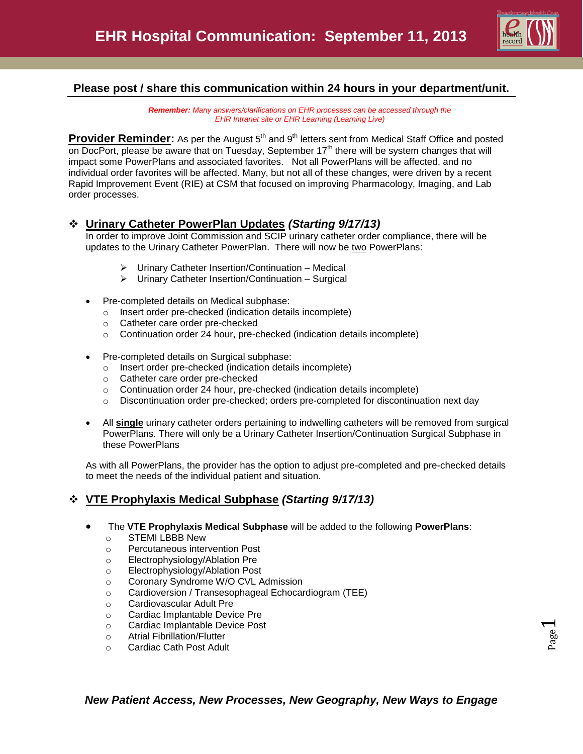

## **Please post / share this communication within 24 hours in your department/unit.**

*Remember: Many answers/clarifications on EHR processes can be accessed through the EHR Intranet site or EHR Learning (Learning Live)*

Provider Reminder: As per the August 5<sup>th</sup> and 9<sup>th</sup> letters sent from Medical Staff Office and posted on DocPort, please be aware that on Tuesday, September 17<sup>th</sup> there will be system changes that will impact some PowerPlans and associated favorites. Not all PowerPlans will be affected, and no individual order favorites will be affected. Many, but not all of these changes, were driven by a recent Rapid Improvement Event (RIE) at CSM that focused on improving Pharmacology, Imaging, and Lab order processes.

#### **Urinary Catheter PowerPlan Updates** *(Starting 9/17/13)*

In order to improve Joint Commission and SCIP urinary catheter order compliance, there will be updates to the Urinary Catheter PowerPlan. There will now be two PowerPlans:

- Urinary Catheter Insertion/Continuation Medical
- Urinary Catheter Insertion/Continuation Surgical
- Pre-completed details on Medical subphase:
	- o Insert order pre-checked (indication details incomplete)
	- o Catheter care order pre-checked
	- $\circ$  Continuation order 24 hour, pre-checked (indication details incomplete)
- Pre-completed details on Surgical subphase:
	- o Insert order pre-checked (indication details incomplete)
	- o Catheter care order pre-checked
	- $\circ$  Continuation order 24 hour, pre-checked (indication details incomplete)
	- o Discontinuation order pre-checked; orders pre-completed for discontinuation next day
- All **single** urinary catheter orders pertaining to indwelling catheters will be removed from surgical PowerPlans. There will only be a Urinary Catheter Insertion/Continuation Surgical Subphase in these PowerPlans

As with all PowerPlans, the provider has the option to adjust pre-completed and pre-checked details to meet the needs of the individual patient and situation.

## **VTE Prophylaxis Medical Subphase** *(Starting 9/17/13)*

- The **VTE Prophylaxis Medical Subphase** will be added to the following **PowerPlans**:
	- o STEMI LBBB New
	- o Percutaneous intervention Post
	- o Electrophysiology/Ablation Pre
	- o Electrophysiology/Ablation Post
	- o Coronary Syndrome W/O CVL Admission
	- o Cardioversion / Transesophageal Echocardiogram (TEE)
	- o Cardiovascular Adult Pre
	- o Cardiac Implantable Device Pre
	- o Cardiac Implantable Device Post
	- o Atrial Fibrillation/Flutter
	- o Cardiac Cath Post Adult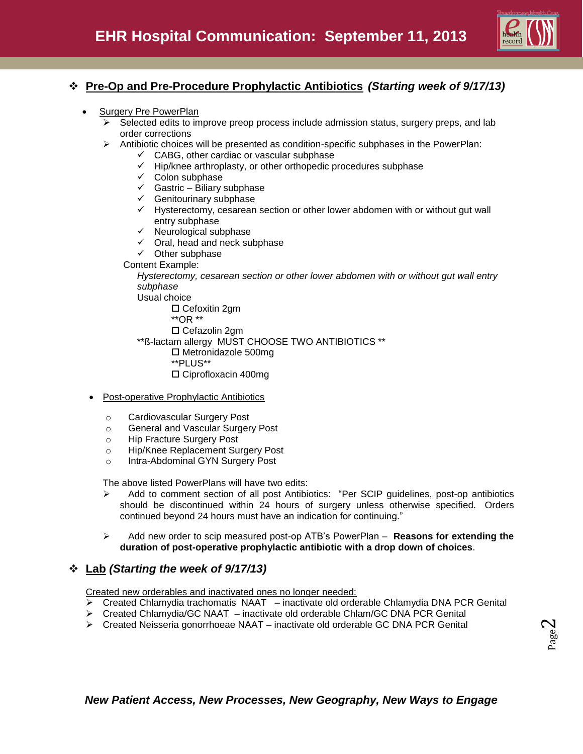

## **Pre-Op and Pre-Procedure Prophylactic Antibiotics** *(Starting week of 9/17/13)*

- Surgery Pre PowerPlan
	- $\triangleright$  Selected edits to improve preop process include admission status, surgery preps, and lab order corrections
	- $\triangleright$  Antibiotic choices will be presented as condition-specific subphases in the PowerPlan:
		- $\checkmark$  CABG, other cardiac or vascular subphase
		- $\checkmark$  Hip/knee arthroplasty, or other orthopedic procedures subphase
		- $\checkmark$  Colon subphase
		- $\checkmark$  Gastric Biliary subphase
		- $\checkmark$  Genitourinary subphase
		- $\checkmark$  Hysterectomy, cesarean section or other lower abdomen with or without gut wall entry subphase
		- $\checkmark$  Neurological subphase
		- $\checkmark$  Oral, head and neck subphase
		- $\checkmark$  Other subphase
		- Content Example:

*Hysterectomy, cesarean section or other lower abdomen with or without gut wall entry subphase*

Usual choice

- □ Cefoxitin 2gm
- \*\*OR \*\*
- Cefazolin 2gm

\*\*ß-lactam allergy MUST CHOOSE TWO ANTIBIOTICS \*\*

- Metronidazole 500mg
- \*\*PLUS\*\*
- Ciprofloxacin 400mg
- Post-operative Prophylactic Antibiotics
	- o Cardiovascular Surgery Post
	- o General and Vascular Surgery Post
	- o Hip Fracture Surgery Post
	- o Hip/Knee Replacement Surgery Post
	- o Intra-Abdominal GYN Surgery Post

The above listed PowerPlans will have two edits:

- $\triangleright$  Add to comment section of all post Antibiotics: "Per SCIP guidelines, post-op antibiotics should be discontinued within 24 hours of surgery unless otherwise specified. Orders continued beyond 24 hours must have an indication for continuing."
- Add new order to scip measured post-op ATB's PowerPlan **Reasons for extending the duration of post-operative prophylactic antibiotic with a drop down of choices**.

#### **Lab** *(Starting the week of 9/17/13)*

Created new orderables and inactivated ones no longer needed:

- $\triangleright$  Created Chlamydia trachomatis NAAT inactivate old orderable Chlamydia DNA PCR Genital
- Created Chlamydia/GC NAAT inactivate old orderable Chlam/GC DNA PCR Genital
- $\triangleright$  Created Neisseria gonorrhoeae NAAT inactivate old orderable GC DNA PCR Genital